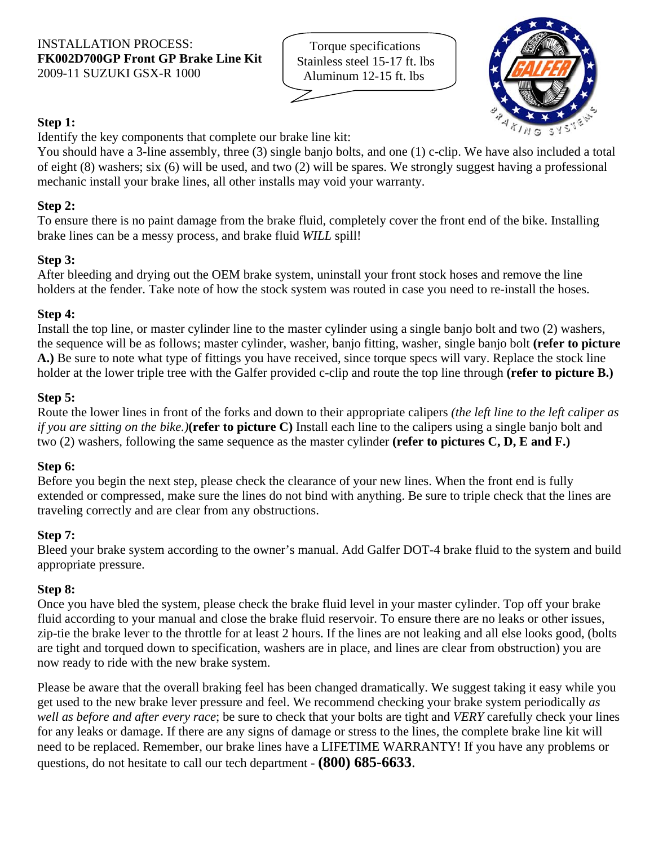Torque specifications Stainless steel 15-17 ft. lbs Aluminum 12-15 ft. lbs



# **Step 1:**

Identify the key components that complete our brake line kit:

You should have a 3-line assembly, three (3) single banjo bolts, and one (1) c-clip. We have also included a total of eight (8) washers; six (6) will be used, and two (2) will be spares. We strongly suggest having a professional mechanic install your brake lines, all other installs may void your warranty.

# **Step 2:**

To ensure there is no paint damage from the brake fluid, completely cover the front end of the bike. Installing brake lines can be a messy process, and brake fluid *WILL* spill!

## **Step 3:**

After bleeding and drying out the OEM brake system, uninstall your front stock hoses and remove the line holders at the fender. Take note of how the stock system was routed in case you need to re-install the hoses.

## **Step 4:**

Install the top line, or master cylinder line to the master cylinder using a single banjo bolt and two (2) washers, the sequence will be as follows; master cylinder, washer, banjo fitting, washer, single banjo bolt **(refer to picture A.)** Be sure to note what type of fittings you have received, since torque specs will vary. Replace the stock line holder at the lower triple tree with the Galfer provided c-clip and route the top line through **(refer to picture B.)**

## **Step 5:**

Route the lower lines in front of the forks and down to their appropriate calipers *(the left line to the left caliper as if you are sitting on the bike.)***(refer to picture C)** Install each line to the calipers using a single banjo bolt and two (2) washers, following the same sequence as the master cylinder **(refer to pictures C, D, E and F.)**

#### **Step 6:**

Before you begin the next step, please check the clearance of your new lines. When the front end is fully extended or compressed, make sure the lines do not bind with anything. Be sure to triple check that the lines are traveling correctly and are clear from any obstructions.

## **Step 7:**

Bleed your brake system according to the owner's manual. Add Galfer DOT-4 brake fluid to the system and build appropriate pressure.

## **Step 8:**

Once you have bled the system, please check the brake fluid level in your master cylinder. Top off your brake fluid according to your manual and close the brake fluid reservoir. To ensure there are no leaks or other issues, zip-tie the brake lever to the throttle for at least 2 hours. If the lines are not leaking and all else looks good, (bolts are tight and torqued down to specification, washers are in place, and lines are clear from obstruction) you are now ready to ride with the new brake system.

Please be aware that the overall braking feel has been changed dramatically. We suggest taking it easy while you get used to the new brake lever pressure and feel. We recommend checking your brake system periodically *as well as before and after every race*; be sure to check that your bolts are tight and *VERY* carefully check your lines for any leaks or damage. If there are any signs of damage or stress to the lines, the complete brake line kit will need to be replaced. Remember, our brake lines have a LIFETIME WARRANTY! If you have any problems or questions, do not hesitate to call our tech department - **(800) 685-6633**.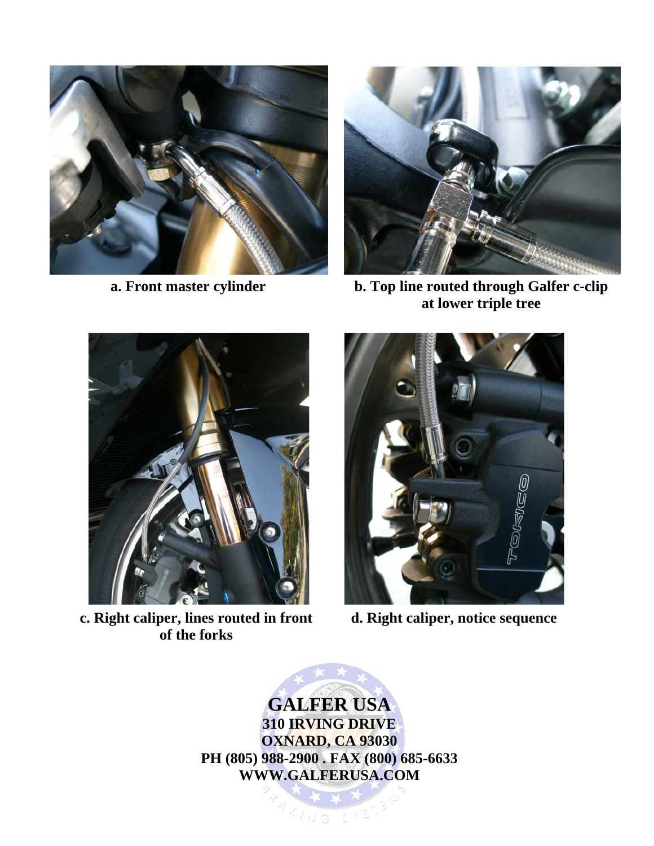

**a. Front master cylinder** 



**b. Top line routed through Galfer c-clip at lower triple tree** 



**c. Right caliper, lines routed in front of the forks** 



**d. Right caliper, notice sequence** 

**GALFER USA 310 IRVING DRIVE OXNARD, CA 93030 PH (805) 988-2900 . FAX (800) 685-6633 WWW.GALFERUSA.COM** 

 $11155$